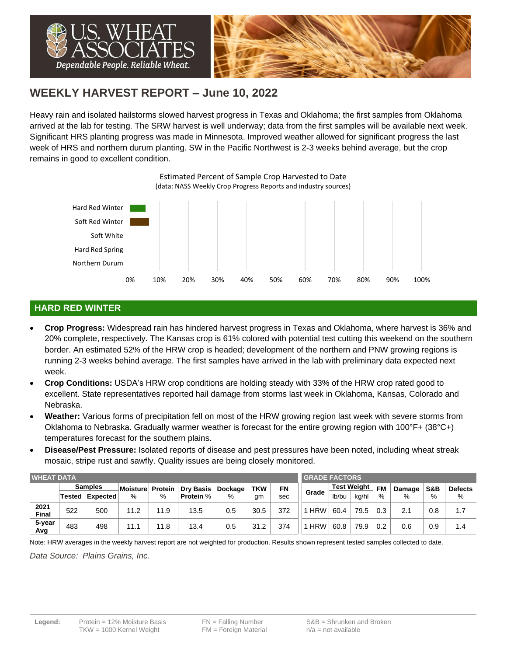

# **WEEKLY HARVEST REPORT – June 10, 2022**

Heavy rain and isolated hailstorms slowed harvest progress in Texas and Oklahoma; the first samples from Oklahoma arrived at the lab for testing. The SRW harvest is well underway; data from the first samples will be available next week. Significant HRS planting progress was made in Minnesota. Improved weather allowed for significant progress the last week of HRS and northern durum planting. SW in the Pacific Northwest is 2-3 weeks behind average, but the crop remains in good to excellent condition.

0% 10% 20% 30% 40% 50% 60% 70% 80% 90% 100% Northern Durum Hard Red Spring Soft White Soft Red Winter Hard Red Winter Estimated Percent of Sample Crop Harvested to Date (data: NASS Weekly Crop Progress Reports and industry sources)

## **HARD RED WINTER**

- **Crop Progress:** Widespread rain has hindered harvest progress in Texas and Oklahoma, where harvest is 36% and 20% complete, respectively. The Kansas crop is 61% colored with potential test cutting this weekend on the southern border. An estimated 52% of the HRW crop is headed; development of the northern and PNW growing regions is running 2-3 weeks behind average. The first samples have arrived in the lab with preliminary data expected next week.
- **Crop Conditions:** USDA's HRW crop conditions are holding steady with 33% of the HRW crop rated good to excellent. State representatives reported hail damage from storms last week in Oklahoma, Kansas, Colorado and Nebraska.
- **Weather:** Various forms of precipitation fell on most of the HRW growing region last week with severe storms from Oklahoma to Nebraska. Gradually warmer weather is forecast for the entire growing region with 100°F+ (38°C+) temperatures forecast for the southern plains.
- **Disease/Pest Pressure:** Isolated reports of disease and pest pressures have been noted, including wheat streak mosaic, stripe rust and sawfly. Quality issues are being closely monitored.

| <b>WHEAT DATA</b>    |                             |                |                  |         |                  |         |            |       |            | <b>GRADE FACTORS</b> |      |           |        |     |                |  |  |
|----------------------|-----------------------------|----------------|------------------|---------|------------------|---------|------------|-------|------------|----------------------|------|-----------|--------|-----|----------------|--|--|
|                      |                             | <b>Samples</b> | Moisture         | Protein | <b>Dry Basis</b> | Dockage | <b>TKW</b> | FN    |            | <b>Test Weight</b>   |      | <b>FM</b> | Damage | S&B | <b>Defects</b> |  |  |
|                      | %<br><b>Tested Expected</b> | %              | <b>Protein %</b> | $\%$    | gm               | sec     | Grade      | lb/bu | ka/hl      | %                    | $\%$ | %         | %      |     |                |  |  |
| 2021<br><b>Final</b> | 522                         | 500            | 11.2             | 11.9    | 13.5             | 0.5     | 30.5       | 372   | <b>HRW</b> | 60.4                 | 79.5 | 0.3       | 2.1    | 0.8 | 1.7            |  |  |
| 5-year<br>Avg        | 483                         | 498            | 11.1             | l 1.8   | 13.4             | 0.5     | 31.2       | 374   | <b>HRW</b> | 60.8                 | 79.9 | 0.2       | 0.6    | 0.9 | 1.4            |  |  |

Note: HRW averages in the weekly harvest report are not weighted for production. Results shown represent tested samples collected to date.

*Data Source: Plains Grains, Inc.*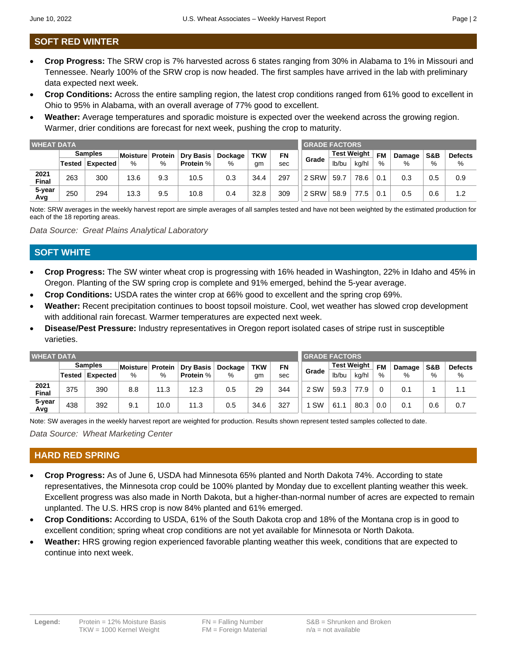# **SOFT RED WINTER**

- **Crop Progress:** The SRW crop is 7% harvested across 6 states ranging from 30% in Alabama to 1% in Missouri and Tennessee. Nearly 100% of the SRW crop is now headed. The first samples have arrived in the lab with preliminary data expected next week.
- **Crop Conditions:** Across the entire sampling region, the latest crop conditions ranged from 61% good to excellent in Ohio to 95% in Alabama, with an overall average of 77% good to excellent.
- **Weather:** Average temperatures and sporadic moisture is expected over the weekend across the growing region. Warmer, drier conditions are forecast for next week, pushing the crop to maturity.

| <b>WHEAT DATA</b> |                |                 |                 |     |                          |         |            |           |       | <b>GRADE FACTORS</b> |       |           |        |     |                |  |  |  |
|-------------------|----------------|-----------------|-----------------|-----|--------------------------|---------|------------|-----------|-------|----------------------|-------|-----------|--------|-----|----------------|--|--|--|
|                   | <b>Samples</b> |                 | <b>Moisture</b> |     | <b>Protein Dry Basis</b> | Dockage | <b>TKW</b> | <b>FN</b> |       | <b>Test Weight</b>   |       | <b>FM</b> | Damage | S&B | <b>Defects</b> |  |  |  |
|                   |                | Tested Expected | %               | %   | <b>Protein %</b>         | $\%$    | gm         | sec       | Grade | lb/bu                | ka/hl | $\%$      | $\%$   | %   | %              |  |  |  |
| 2021<br>Final     | 263            | 300             | 13.6            | 9.3 | 10.5                     | 0.3     | 34.4       | 297       | 2 SRW | 59.7                 | 78.6  | 0.1       | 0.3    | 0.5 | 0.9            |  |  |  |
| 5-year<br>Avg     | 250            | 294             | 13.3            | 9.5 | 10.8                     | 0.4     | 32.8       | 309       | 2 SRW | 58.9                 | 77.5  | 0.1       | 0.5    | 0.6 | 1.2            |  |  |  |

Note: SRW averages in the weekly harvest report are simple averages of all samples tested and have not been weighted by the estimated production for each of the 18 reporting areas.

*Data Source: Great Plains Analytical Laboratory*

### **SOFT WHITE**

- **Crop Progress:** The SW winter wheat crop is progressing with 16% headed in Washington, 22% in Idaho and 45% in Oregon. Planting of the SW spring crop is complete and 91% emerged, behind the 5-year average.
- **Crop Conditions:** USDA rates the winter crop at 66% good to excellent and the spring crop 69%.
- **Weather:** Recent precipitation continues to boost topsoil moisture. Cool, wet weather has slowed crop development with additional rain forecast. Warmer temperatures are expected next week.
- **Disease/Pest Pressure:** Industry representatives in Oregon report isolated cases of stripe rust in susceptible varieties.

| <b>WHEAT DATA</b>    |                |          |          |         |                  |         |            |     |           | <b>GRADE FACTORS</b> |       |           |        |     |                |  |  |  |
|----------------------|----------------|----------|----------|---------|------------------|---------|------------|-----|-----------|----------------------|-------|-----------|--------|-----|----------------|--|--|--|
|                      | <b>Samples</b> |          | Moisture | Protein | <b>Dry Basis</b> | Dockage | <b>TKW</b> | FN  |           | <b>Test Weight</b>   |       | <b>FM</b> | Damage | S&B | <b>Defects</b> |  |  |  |
|                      | <b>Tested</b>  | Expected | %        | %       | <b>Protein %</b> | $\%$    | gm         | sec | Grade     | lb/bu                | kg/hl | %         | %      | %   | %              |  |  |  |
| 2021<br><b>Final</b> | 375            | 390      | 8.8      | 11.3    | 12.3             | 0.5     | 29         | 344 | 2 SW      | 59.3                 | 77.9  |           | 0.1    |     | 1.1            |  |  |  |
| 5-year<br>Avg        | 438            | 392      | 9.1      | 10.0    | 11.3             | 0.5     | 34.6       | 327 | <b>SW</b> | 61.1                 | 80.3  | 0.0       | 0.1    | 0.6 | 0.7            |  |  |  |

Note: SW averages in the weekly harvest report are weighted for production. Results shown represent tested samples collected to date.

*Data Source: Wheat Marketing Center*

### **HARD RED SPRING**

- **Crop Progress:** As of June 6, USDA had Minnesota 65% planted and North Dakota 74%. According to state representatives, the Minnesota crop could be 100% planted by Monday due to excellent planting weather this week. Excellent progress was also made in North Dakota, but a higher-than-normal number of acres are expected to remain unplanted. The U.S. HRS crop is now 84% planted and 61% emerged.
- **Crop Conditions:** According to USDA, 61% of the South Dakota crop and 18% of the Montana crop is in good to excellent condition; spring wheat crop conditions are not yet available for Minnesota or North Dakota.
- **Weather:** HRS growing region experienced favorable planting weather this week, conditions that are expected to continue into next week.